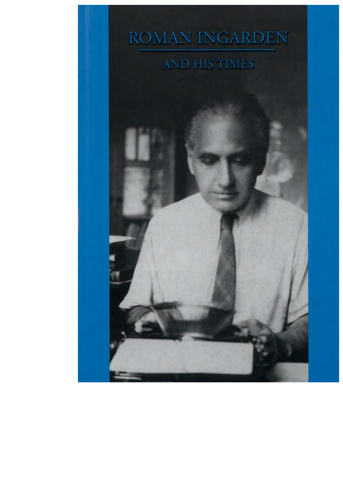# **ROMAN INGARDEN**

## **AND HIS TIMES**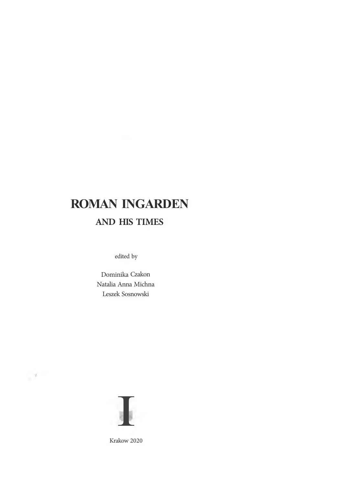## **ROMAN INGARDEN AND HIS TIMES**

edited by

Dominika Czakon Natalia Anna Michna Leszek Sosnowski



Krakow 2020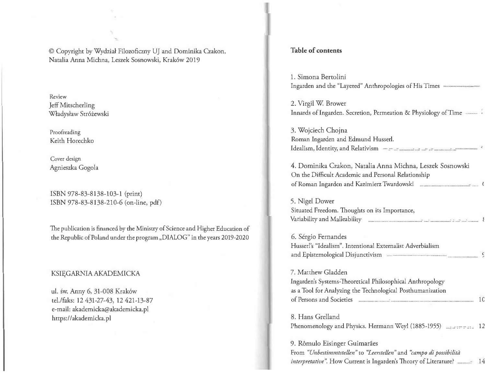© Copyright by Wydzia! Filozoficzny UJ and Dominika Czakon, Natalia Anna Michna, Leszek Sosnowski, Krak6w 2019

Review Jeff Mitscherling Władysław Stróżewski

Proofreading Keith Horechko

Cover design Agnieszka Gogola

ISBN 978-83-8138-103-l (print) ISBN 978-83-8138-210-6 (on-line, pdf)

The publication is financed by the Ministry of Science and Higher Education of the Republic of Poland under the program ,,DIALOG" in the years 2019-2020

#### KSIĘGARNIA AKADEMICKA

ul. św. Anny 6, 31-008 Kraków tel./faks: 12 431-27-43, 12 421-13-87 e-mail: akademicka@akademicka.pl https://akademicka.pl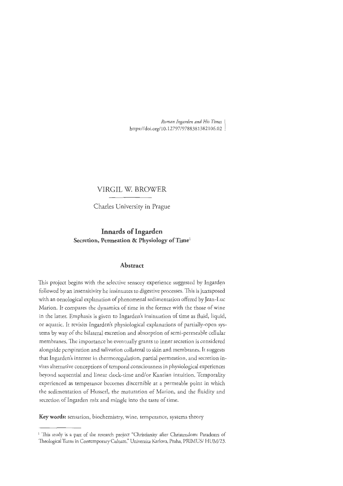### **VIRGIL W. BROWER**

Charles University **in** Prague

## **Innards of Ingarden**  Secretion, Permeation & Physiology of Time<sup>1</sup>

#### **Abstract**

This project begins with the selective sensory experience suggested by lngarden followed by an insensitivity he insinuates to digestive processes. This is juxtaposed with an oenological explanation of phenomenal sedimentation offered by Jean-Luc Marion. It compares the dynamics of time in the former with the those of wine in the latter. Emphasis is given to lngarden's insinuation of time as fluid, liquid, or aquatic. It revisits Ingarden's physiological explanations of partially-open systems by way of the bilateral excretion and absorption of semi-permeable cellular membranes. The importance he eventually grants to inner secretion is considered alongside perspiration and salivation collateral to skin and membranes. It suggests that Ingarden's interest in thermoregulation, partial permeation, and secretion invites alternative conceptions of temporal consciousness in physiological experiences beyond sequential and linear clock-time and/or Kantian intuition. Temporality experienced as temperance becomes discernible at a permeable point in which the sedimentation of Husserl, the maturation of Marion, and the fluidity and secretion of Ingarden mix and mingle into the taste of time.

**Keywords:** sensation, biochemistry, wine, temperance, systems theory

<sup>&</sup>lt;sup>1</sup> This study is a part of the research project "Christianity after Christendom: Paradoxes of Theological Turns in Contemporary Culture," Univerzita Karlova, Praha, PRJMUS/ HUM/23.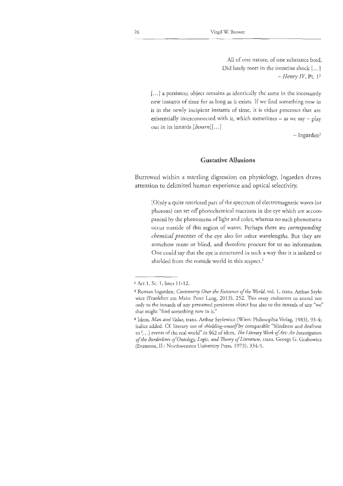All of one nature, of one substance bred, Did lately meet in the intestine shock [...]  $\sim$  *Henry IV*, Pt. 1<sup>2</sup>

[...] a persistent object remains as identically the same in the incessantly new instants of time for as long as it exists. If we find something new in it in the newly incipient instants of time, it is either processes that are existentially interconnected with it, which sometimes  $-$  as we say  $-$  play out in its innards *[Innern][ ..* . ]

 $\sim$ Ingarden<sup>3</sup>

#### **Gustative Allusions**

Burrowed within a startling digression on physiology, Ingarden draws attention to delimited human experience and optical selectivity.

[O]nly a quite restricted part of the spectrum of electromagnetic waves (or photons) can set off photochemical reactions in the eye which are accompanied by the phenomena of light and color, whereas no such phenomena occur outside of this region of waves. Perhaps there are *corresponding chemical processes* of the eye also for ocher wavelengths. But they are somehow mute or blind, and therefore procure for us no information. One could say that the eye is structured in such a way that it is isolated or shielded from the outside world in this respect.<sup>4</sup>

<sup>2</sup>Act 1, Sc. 1, lines 11-12.

<sup>3</sup> Roman Ingarden, *Controversy Over the Existence of the World,* vol. 1, trans. Arthur *Szyle*wicz (Frankfurt am Main: Peter Lang, 2013), 252. This essay endeavors to attend not only to the innards of any presumed persistent object but also to the innards of any "we" that might "find something new in it."

<sup>4</sup> Idem, *Man and Value*, *trans. Arthur Szylewicz* (Wien: Philosophia Verlag, 1983), 93-4; italics added. Cf. literary use of *shielding-oneself* by comparable "blindness and deafness to [ .. . ) events of the real world" in §62 of idem, *The Literary Work of Art: An Investigation of the Borderlines of Ontology, Logic, and Theory of Literature,* trans. George G. Grabowicz (Evanston, IL: Northwestern University Press, 1973), 334~5.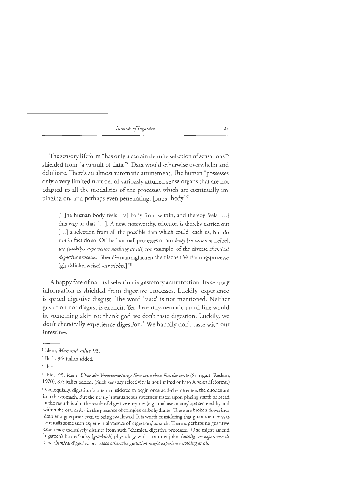The sensory lifeform "has only a certain definite selection of sensations"5 shielded from "a rumult of data."6 Data would otherwise overwhelm and debilitate. There's an almost automatic attunement. The human "possesses only a very limited number of variously attuned sense organs that are not adapted to all the modalities of the processes which are continually impinging on, and perhaps even penetrating, [one's] body."<sup>7</sup>

[T]he human body feels [its] body from within, and thereby feels [ ... ] this way or that  $[...]$ . A new, noteworthy, selection is thereby carried out [...] a selection from all the possible data which could reach us, but do not in fact do so. Of the 'normal' processes of our *body [in unserem* Leibe], *we (luckily) experience nothing at all,* for example, of the diverse *chemical digestive processes* [iiber die mannigfachen chemischen Verdauungsprozesse (gliicklicherweise) *gar nichts.]* "<sup>8</sup>

A happy fate of natural selection is gustatory adumbration. Its sensory information is shielded from digestive processes. Luckily, experience is spared digestive disgust. The word 'taste' is not mentioned. Neither gustation nor disgust is explicit. Yet the enthymematic punchline would be something akin to: thank god we don't taste digestion. Luckily, we don't chemically experience digestion. 9 We happily don't taste with our intestines.

<sup>9</sup>Colloquially, digestion is often considered to begin once acid-chyme enters the duodenum into the stomach. But the nearly instantaneous sweetness tasted upon placing starch or bread in the mouth is also the result of digestive enzymes (e.g., maltase or amylase) secreted by and within the oral cavity in the presence of complex carbohydrates. These are broken down into simpler sugars prior even to being swallowed. It is worth considering that gusration necessarily entails some such experiential valence of'digestion,' as such. There is perhaps no gustative experience exclusively distinct from such "chemical digestive processes." One might amend Ingarden's happy/lucky [glücklich] physiology with a counter-joke: Luckily, we experience di*verse chemical* digestive processes *otherwise gustation might experience nothing at all.* 

<sup>5</sup> Idem, *Man and Value,* 93.

*<sup>6</sup>*Ibid., 94; italics added.

<sup>7</sup>Ibid.

<sup>8</sup>Ibid., 95; idem, *Ober die Verantwortung: Ihre ontischen Fundamente* (Stuttgart: Reclam, 1970), 87; italics added. (Such sensory selectivity is not limited only to *human* lifeforms.)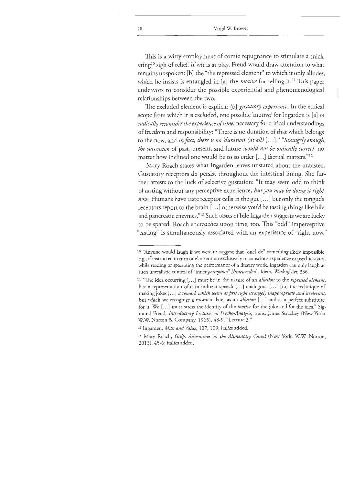This is a witty employment of comic repugnance to stimulate a snickering<sup>10</sup> sigh of relief. If wit is at play, Freud would draw attention to what remains unspoken: [b] the "the repressed element" to which it only alludes, which he insists is entangled in [a] the *motive* for telling it.<sup>11</sup> This paper endeavors to consider the possible experiential and phenomenological relationships between the two.

The excluded element is explicit: [b] *gustatory experience.* In the ethical scope from which it is excluded, one possible 'motive' for Ingarden is [a] *to radically reconsider the experience of time,* necessary for critical understandings of freedom and responsibility: "There is no duration of that which belongs to the now, and *in fact, there is no 'duration' (at all)* [ ... ] ." *"Strangely enough, the succession* of past, present, and future *would not be ontical!y correct,* no matter how inclined one would be to so order [...] factual matters."<sup>12</sup>

Mary Roach states what Ingarden leaves unstated about the untasted. Gustatory receptors do persist throughout the intestinal lining. She further attests to the luck of selective gustation: "It may seem odd to think of tasting without any perceptive experience, *but you may be doing it right now.* Humans have taste receptor cells in the gut[ ... ] but only the tongue's receptors report co the brain[ ... ] otherwise you'd be tasting things like bile and pancreatic enzymes."13 Such tastes of bile Ingarden suggests we are lucky to be spared. Roach encroaches upon time, too. This "odd" imperceptive "tasting" is simultaneously associated with an experience of "right now."

<sup>&</sup>lt;sup>10</sup> "Anyone would laugh if we were to suggest that [one] do" something likely impossible, e.g., if instructed to turn one's attention exclusively to conscious experience or psychic states, while reading or spectating the performance of a literary work. Ingarden can only laugh at such unrealistic control of "inner *perception" [Innewenien].* Idem, *Work of Art,* 336.

<sup>1</sup> 1 "The idea occurring [ ... ] must be in the nature of an *allusion* to the *repressed element,*  like a representation of it in indirect speech [...] analogous [...] [to] the technique of making jokes [ ... ] *a remark which seems at first sight strangely inappropriate and irrelevant,*  but which we recognize a moment later as an *allusion* [ ... ] and as a perfect substitute for it. We [ ... ] must stress the identity of the *motive* for the joke and for the idea." Sigmund Freud, *Introductory Lectures on Psycho-Analysis,* trans. James Strachey (New York: WW. Norton & Company, 1965), 48-9, "Lecture 3."

<sup>12</sup> lngarden, *Man and Value,* 107, 109; italics added.

<sup>&</sup>lt;sup>13</sup> Mary Roach, *Gulp: Adventures on the Alimentary Canal* (New York: W.W. Norton, 2013), 45-6; italics added.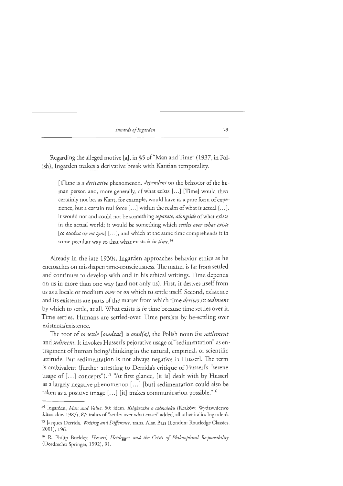Regarding the alleged motive [a], in §5 of"Man and Time" (1937, in Polish), lngarden makes a derivative break with Kantian temporality.

[T]ime is *a derivative* phenomenon, *dependent* on the behavior of the human person and, more generally, of what exists [...] [Time] would then certainly not be, as Kant, for example, would have it, a pure form of experience, but a certain real force  $[...]$  within the realm of what is actual  $[...]$ . It would not and could not be something *separate, alongside* of what exists in the actual world; it would be something which *settles over what exists*  [co osadza sie na tym] [...], and which at the same time comprehends it in *some* peculiar way so that what exists *is in time.* <sup>14</sup>

Already in the late 1930s, Ingarden approaches behavior ethics as he encroaches on misshapen time-consciousness. The matter is far from settled and continues to develop with and in his ethical writings. Time depends on us in more than one way (and not only us). First, it derives itself from us as a locale or medium *over* or *on* which to settle itsel£ Second, existence and its existents are parts of the matter from which time *derives its sediment*  by which to settle, at all. What exists is *in* time because time settles over it. Time settles. Humans are settled-over. Time persists by be-settling over existents/existence.

The root of *to settle [osadzac*] is *osad(a)*, the Polish noun for *settlement* and *sediment*. It invokes Husserl's pejorative usage of "sedimentation" as entrapment of human being/thinking in the natural, empirical, or scientific attitude. But sedimentation is not always negative in Husserl. The term is ambivalent (further attesting to Derrida's critique of Husserl's "serene usage of [...] concepts").<sup>15</sup> "At first glance, [it is] dealt with by Husserl as a largely negative phenomenon [...] [but] sedimentation could also be taken as a positive image [...] [it] makes communication possible."<sup>16</sup>

<sup>14</sup> Ingarden, *Man and Value,* 50; idem, *Ksiqieczka o czlowieku* (Krakow: Wydawnictwo Literackie, 1987), 67; italics of "settles over what exists" added, all other italics Ingarden's. 15 Jacques Derrida, *Writing and Difference,* trans. Alan Bass (London: Routledge Classics, 2001), 196.

<sup>&</sup>lt;sup>16</sup> R. Philip Buckley, *Husserl, Heidegger and the Crisis of Philosophical Responsibility* (Dordrecht: Springer, 1992), 91.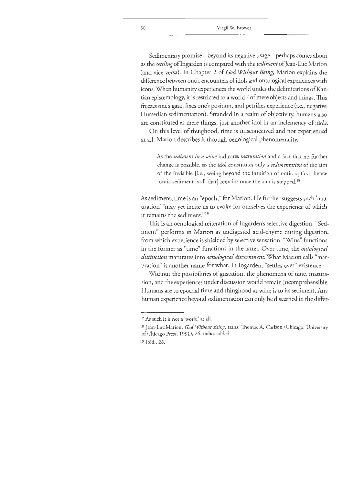Sedimentary promise – beyond its negative usage – perhaps comes about as the *settling* oflngarden is compared with the *sediment* of Jean-Luc Marion (and vice versa). In Chapter 2 of *God Without Being,* Marion explains the difference between ontic encounters of idols and ontological experiences with icons. When humanity experiences the world under the delimitations of Kantian epistemology, it is restricted to a world<sup>17</sup> of mere objects and things. This freezes one's gaze, fixes one's position, and petrifies experience (i.e., negative Husserlian sedimentation). Stranded in a realm of objectivity, humans also are constituted as mere things, just another idol in an inclemency of idols.

On this level of thinghood, time is misconceived and not experienced at all. Marion describes **it** through oenological phenomenalicy.

As the *sediment in a wine* indicates *maturation* and a fact that no further change is possible, so the idol constitutes only *a sedimentation* of the aim of the invisible [i.e., seeing beyond the intuition of antic optics], hence [ontic sediment is all that] remains once the aim is stopped.<sup>18</sup>

As sediment, time is an "epoch," for Marion. He further suggests such 'maturation' "may yet incite us to evoke for ourselves the experience of which it remains the sediment." $^{\rm 19}$ 

This is an oenological reiteration of Ingarden's selective digestion. "Sediment" performs in Marion as undigested acid-chyme during digestion, from which experience is shielded by selective sensation. "Wine" functions in the former as "time" functions in the latter. Over time, the *ontological* distinction maturates into *oenological discernment*. What Marion calls "maturation" is another name for what, in Ingarden, "settles over" existence.

Without the possibilities of gustation, the phenomena of time, maturation, and the experiences under discussion would remain incomprehensible. Humans are to epochal time and thinghood as wine is to its sediment. Any human experience beyond sedimentation can only be discerned in the differ-

19 Ibid., 28.

<sup>17</sup> As such it is not a 'world' at all.

<sup>&</sup>lt;sup>18</sup> Jean-Luc Marion, *God Without Being*, *trans. Thomas A. Carlson* (Chicago: University of Chicago Press, 1991), 26; italics added.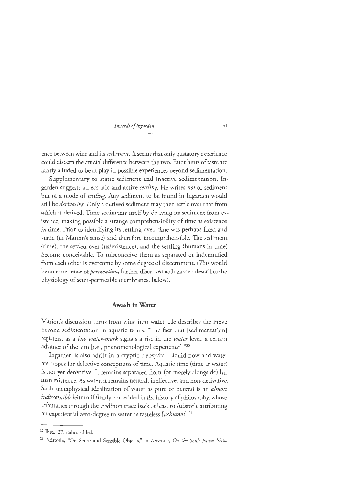ence between wine and its sediment. It seems chat only gustatory experience could discern the crucial difference between the two. Faint hints of taste are tacitly alluded to be at play in possible experiences beyond sedimentation.

Supplementary to static sediment and inactive sedimentation, Ingarden suggests an ecstatic and active *settling.* He writes *not* of sediment but of a mode of *settling.* Any sediment to be found in Ingarden would still be *derivative.* Only a derived sediment may then settle over that from which it derived. Time sediments itself by deriving its sediment from existence, making possible a strange comprehensibility of time as existence *in* time. Prior to identifying its settling-over, time was perhaps fixed and static (in Marion's sense) and therefore incomprehensible. The sediment (time), the settled-over (us/existence), and the seeding (humans in time) become conceivable. To misconceive them as separated or indemnified from each other is overcome by some degree of discernment. (This would be an experience of *permeation,* further discerned as Ingarden describes the physiology of semi-permeable membranes, below).

#### **Awash in Water**

Marion's discussion turns from wine into water. He describes the move beyond sedimentation in aquatic terms. "The fact chat [sedimentation] registers, as a *low water-mark* signals a rise in the *water* level, a certain advance of the aim [i.e., phenomenological experience]."20

lngarden is also adrift in a cryptic clepsydra. Liquid flow and water are tropes for defective conceptions of time. Aquatic time (time as water) is not yet derivative. It remains separated from (or merely alongside) human existence. As water, it remains neutral, ineffective, and non-derivative. Such metaphysical idealization of water as pure or neutral is an *almost indiscernible* leitmotif firmly embedded in the history of philosophy, whose tributaries through the tradition trace back at least to Aristotle attributing an experiential zero-degree co water as tasteless *[achumos].* <sup>21</sup>

<sup>20</sup> Ibid., 27; italics added.

<sup>21</sup> Aristotle, "On Sense and Sensible Objects," in Aristotle, *On the Soul: Parva Natu-*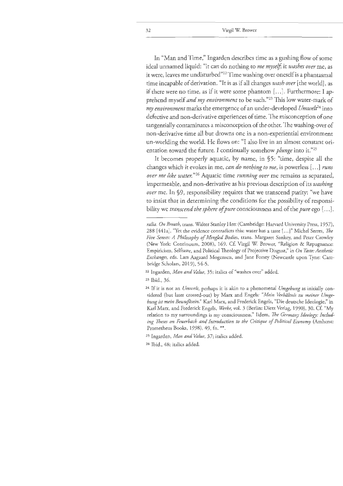In "Man and Time," lngarden describes time as a gushing flow of some ideal unnamed liquid: "it can do nothing to *me myself,* it *washes over* me, as it were, leaves me undisturbed"<sup>22</sup> Time washing over oneself is a phantasmal time incapable of derivation. "It is as if all changes *wash over* [ the world], as if there were no time, as if it were some phantom [...]. Furthermore: I apprehend myself *and my environment* to be such."23 This low water-mark of *my environment* marks the emergence of an under-developed *Umwelt*<sup>24</sup> into defective and non-derivative experiences of time. The misconception of one tangentially contaminates a misconception of the other. The washing-over of non-derivative time all but drowns one in a non-experiential environment un-worlding the world. He flows on: "I also live in an almost constant orientation toward the future. I continually somehow *plunge* into it."<sup>25</sup>

It becomes properly aquatic, by name, in §5: "time, despite all the changes which it evokes in me, *can do nothing to me,* is powerless[ ... ] *runs over me like water.* "26 Aquatic time *running over* me remains as separated, impermeable, and non-derivative as his previous description of its *washing over* me. In §9, responsibility requires that we transcend purity: "we have to insist that in determining the conditions for the possibility of responsibility we *transcend the sphere of pure* consciousness and of the *pure* ego [ ... ] .

*ralia. On Breath,* trans. Walter Stanley Hett (Cambridge: Harvard University Press, 1957), 288 [441a]. "Yee the evidence contradicts this: water has a taste[ ... )" Michel Serres, *The Five Senses: A Philosophy of Mingled Bodies,* trans. Margaret Sankey, and Peter Crowley (New York: Continuum, 2008), 169. C£ Virgil W. Brower, "Religion & Repugnance: Empiricism, Selftaste, and Political Theology of Projective Disgust," in *On Taste: Aesthetic Exchanges,* eds. Lars Aagaard Mogensen, and Jane Forsey (Newcastle upon Tyne: Cambridge Scholars, 2019), 54-5.

<sup>22</sup> Ingarden, *Man and Value,* 35; italics of "washes over" added.

<sup>23</sup> Ibid., 36.

<sup>24</sup> If it is not an *Umwelt,* perhaps it is akin to a phenomenal *Umgebung* as initially considered (but later crossed-out) by Marx and Engels: *"Mein Verhaltnis zu meiner Umgebung ist mein Bewuftsein."* Karl Marx, and Frederick Engels, "Die deutsche Ideologie," in Karl Marx, and Frederick Engels, Werke, vol. 3 (Berlin: Dietz Verlag, 1990), 30. Cf. "My relation to my surroundings is my consciousness." !idem, *The Germany Ideology: Including Theses on Feuerbach and Introduction to the Critique of Political Economy* (Amherst: Prometheus Books, 1998), 49, fn. \*\*.

<sup>25</sup> Ingarden, *Man and Value,* 37; italics added.

<sup>26</sup> Ibid., 48; italics added.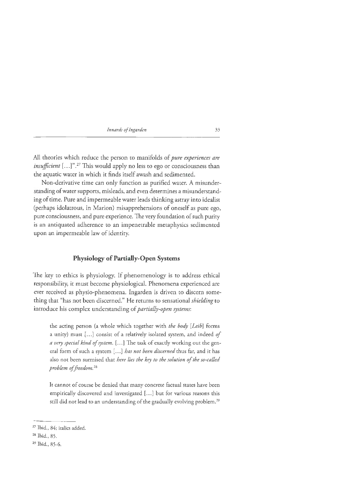All theories which reduce the person to manifolds of *pure experiences are insufficient* [...]".<sup>27</sup> This would apply no less to ego or consciousness than the aquatic water in which it finds itself awash and sedimented.

Non-derivative time can only function as purified water. A misunderstanding of water supports, misleads, and even determines a misunderstanding of time. Pure and impermeable water leads thinking astray into idealist (perhaps idolatrous, in Marion) misapprehensions of oneself as pure ego, pure consciousness, and pure experience. The very foundation of such purity is an antiquated adherence to an impenetrable metaphysics sedimented upon an impermeable law of identity.

### **Physiology of Partially-Open Systems**

The key to ethics is physiology. If phenomenology is to address ethical responsibility, it must become physiological. Phenomena experienced are ever received as physio-phenomena. lngarden is driven to discern something that "has not been discerned." He returns to sensational *shielding* to introduce his complex understanding of *partially-open systems:* 

the acting person (a whole which together with *the body [Leib]* forms a unity) must [...] consist of a relatively isolated system, and indeed of *a very special kind of system.* [ ... ] The task of exactly working out the general form of such a system [...] *has not been discerned* thus far, and it has also not been surmised that *here lies the key to the solution of the so-called problem of freedom.* <sup>28</sup>

It cannot of course be denied that many concrete factual states have been empirically discovered and investigated [...] but for various reasons this still did not lead to an understanding of the gradually evolving problem.<sup>29</sup>

<sup>27</sup> Ibid., 84; italics added.

<sup>28</sup> Ibid., 85.

<sup>29</sup> Ibid., 85-6.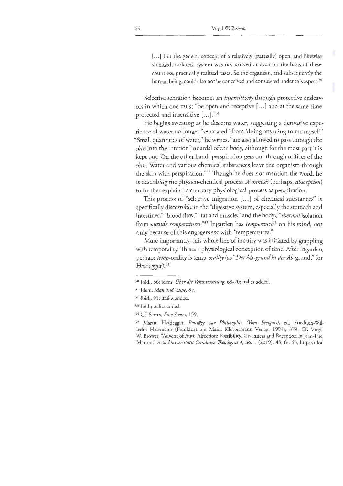[...] But the general concept of a relatively (partially) open, and likewise shielded, isolated, system was not arrived at even on the basis of these countless, practically realized cases. So the organism, and subsequently the human being, could also not be conceived and considered under this aspect.<sup>30</sup>

Selective sensation becomes an *insensitivity* through protective endeavors in which one must "be open and receptive [ ... ] and at the same time protected and insensitive [...]."31

He begins sweating as he discerns water, suggesting a derivative experience of water no longer "separated" from 'doing anything to me myself.' "Small quantities of water," he writes, "are also allowed to pass through the *skin* into the interior [innards] of the body, although for the most part it is kept out. On the other hand, perspiration gets out through orifices of the *skin.* Water and various chemical substances leave the organism through the skin with perspiration."<sup>32</sup> Though he does not mention the word, he is describing the physico-chemical process of *osmosis* (perhaps, *absorption)*  to further explain its contrary physiological process as perspiration.

This process of "selective migration [...] of chemical substances" is specifically discernible in the "digestive system, especially the stomach and intestines," "blood flow," "fat and muscle," and the body's *"thermal* isolation from *outside temperatures."33* Ingarden has *temperance3<sup>4</sup>*on his mind, not only because of this engagement with "temperatures."

More importantly, this whole line of inquiry was initiated by grappling with temporality. This is a physiological conception of time. After Ingarden, perhaps *temp-orality* is *temp-orality* (as *"Der Ab-grund ist der* Ab-grund," for Heidegger). 35

<sup>3</sup>4 Cf. Serres, *Five Senses,* 159.

<sup>30</sup> Ibid., 86; idem, *Uber die Verantwortung,* 68-70; italics added.

<sup>3</sup>1 Idem, *Man and Value,* 85.

<sup>3</sup><sup>2</sup>Ibid., 91; italics added.

<sup>33</sup> Ibid.; italics added.

<sup>35</sup> Martin Heidegger, *Beitrage zur Philosophie (Vom Ereignis),* ed. Friedrich-Wilhelm Herrmann (Frankfurt am Main: Klostermann Verlag, 1994), 379. Cf. Virgil W. Brower, "Advent of Auto-Affection: Possibility, Givenness and Reception in Jean-Luc Marion," *Acta Universitatis Carolinae 1heologica* 9, no. 1 (2019): 43, fn. 63, htcps://doi.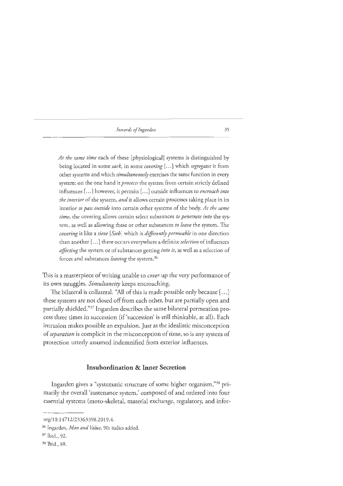*At the same time* each of these [physiological] systems is distinguished by being located in some *sack,* in some *covering[ ... ]* which *segregates* it from other systems and which *simultaneously* exercises the same function in every system: on the one hand it *protects* the system from certain strictly defined influences[ ... ] however, it permits[ ... ] outside influences to *encroach into the interior* of the system, *and* it allows certain processes taking place in its interior *to pass outside* into certain other systems of the body. *At the same time,* the covering allows certain select substances *to penetrate into* the system, as well as allowing these or other substances *to leave* the system. The *covering* is like a *sieve [Sieb]* which is *differently permeable* in one direction than another [ ... ] there occurs everywhere a definite *selection* of influences *affecting* the system or of substances getting *into it,* as well as a selection of forces and substances *leaving* the system. 36

This is a masterpiece of writing unable to *cover* up the very performance of its own struggles. *Simultaneiry* keeps encroaching.

The bilateral is collateral. "All of this is made possible only because[ ... ] these systems are not closed off from each other, but are partially open and partially shielded." 37 Ingarden describes the same bilateral permeation process three times in succession (if 'succession' is still thinkable, at all). Each intrusion makes possible an expulsion. Just as the idealistic misconception of *separation* is complicit in the misconception of time, so is any system of protection utterly assumed indemnified from exterior influences.

#### **Insubordination & Inner Secretion**

Ingarden gives a "systematic structure of some higher organism,"38 primarily the overall 'sustenance system,' composed of and ordered into four essential systems (moto-skeletal, material exchange, regulatory, and infor-

org/10.14712/23363398.2019.4.

<sup>36</sup> Ingarden, *Man and Value,* 90; italics added.

<sup>37</sup>Ibid. , 92.

<sup>38</sup> Ibid., 88.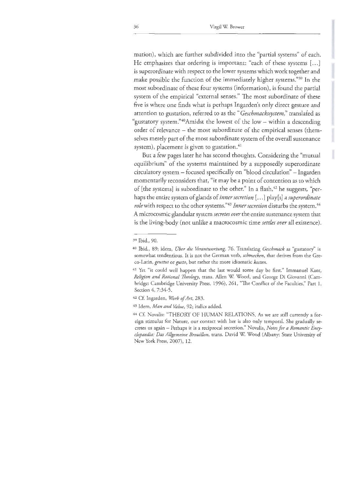mation), which are further subdivided into the "partial systems" of each. He emphasizes that ordering is important: "each of these systems [...] is superordinate with respect to the lower systems which work together and make possible the function of the immediately higher systems."<sup>39</sup> In the most subordinate of these four systems (information), is found the partial system of the empirical "external senses." The most subordinate of these five is where one finds what is perhaps lngarden's only direct gesture and attention to gustation, referred to as the *"Geschmackssystem,"* translated as "gustatory system."40Amidst the lowest of the low - within a descending order of relevance – the most subordinate of the empirical senses (themselves merely part of the most subordinate system of the overall sustenance system), placement is given to gustation.<sup>41</sup>

But a few pages later he has second thoughts. Considering the "mutual equilibrium" of the systems maintained by a supposedly superordinate circulatory system - focused specifically on "blood circulation" - Ingarden momentarily reconsiders that, "it may be a point of contention as to which of [the systems] is subordinate to the other." In a flash, 42 he suggests, "perhaps the entire system of glands of *inner secretion[ ... ]* play[s] a *superordinate role* with respect to the other systems."<sup>43</sup> Inner secretion disturbs the system.<sup>44</sup> A microcosmic glandular system *secretes over* the entire sustenance system that is the living-body (not unlike a macrocosmic time *settles over* all existence).

<sup>3</sup>9 Ibid., 90.

<sup>40</sup> Ibid., 89; idem, *Uber die Verantwortung,* 76. Translating *Geschmack* as "gustatory" is somewhat tendentious. It is not the German verb, *schmecken,* that derives from the Greco-Latin, *geustus* or *gusto,* but rather the more idiomatic *kosten.* 

<sup>&</sup>lt;sup>41</sup> Yet "it could well happen that the last would some day be first." Immanuel Kant, *Religion and Rational Theology, trans. Allen W. Wood, and George Di Giovanni (Cam*bridge: Cambridge University Press, 1996), 261, "The Conflict of the Faculties," Part 1, Section 4, 7:34-5.

<sup>42</sup> Cf. Ingarden, *Work of Art,* 283.

<sup>43</sup>Idem, *Man and Value,* 92; italics added.

<sup>44</sup> Cf. Novalis: "THEORY OF HUMAN RELATIONS. As we are still currently a foreign stimulus for Nature, our contact with her is also only temporal. She gradually secretes us again - Perhaps it is a reciprocal secretion." Novalis, *Notes for a Romantic Encyclopaedia: Das Allgemeine Brouillon,* trans. David W Wood (Albany: State University of New York Press, 2007), 12.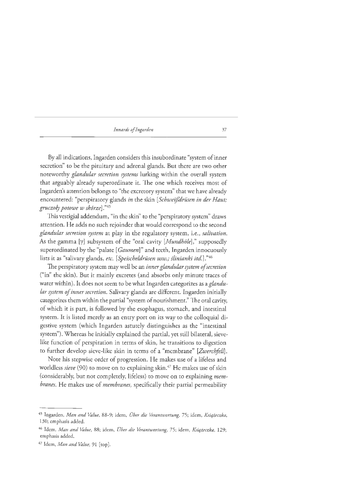By all indications, Ingarden considers this insubordinate "system ofinner secretion" to be the pituitary and adrenal glands. But there are two other noteworthy *glandular secretion systems* lurking within the overall system that arguably already superordinate it. The one which receives most of Ingarden's attention belongs to "the excretory system" that we have already encountered: "perspiratory glands *in* the skin *[Schweijdrusen in der Haut; gruczoly potowe w skorze]* ."45

This vestigial addendum, "in the skin'' to the "perspiratory system" draws attention. He adds no such rejoinder that would correspond to the second *glandular secretion system* at play in the regulatory system, i.e., *salivation.*  As the gamma [y] subsystem of the "oral cavity *[Mundhole],"* supposedly superordinated by the "palate [ *Gaumen]"* and teeth, Ingarden innocuously lists it as "salivary glands, *etc. [Speischeldrusen usw.; flinianki itd.]* ."46

The perspiratory system may well be an *inner glandular system of secretion*  ("in" the skin). But it mainly excretes (and absorbs only minute traces of water within). It does not seem to be what Ingarden categorizes as a *glandular system of inner secretion.* Salivary glands are different. Ingarden initially categorizes them within the partial "system of nourishment." The oral cavity, of which it is part, is followed by the esophagus, stomach, and intestinal system. It is listed merely as an entry port on its way to the colloquial digestive system (which Ingarden astutely distinguishes as the "intestinal system"). Whereas he initially explained the partial, yet still bilateral, sievelike function of perspiration in terms of skin, he transitions to digestion to further develop sieve-like skin in terms of a "membrane" [Zwerchfell].

Note his stepwise order of progression. He makes use of a lifeless and worldless *sieve* (90) to move on to explaining skin.<sup>47</sup> He makes use of skin (considerably, but not completely, lifeless) to move on to explaining *membranes.* He makes use of *membranes,* specifically their partial permeability

<sup>45</sup> Ingarden, *Man and Value,* 88-9; idem, *Ober die Verantwortung,* 75; idem, *Ksiqieczka,*  130; emphasis added.

<sup>46</sup> Idem, *Man and Value,* 88; idem, *Ober die Verantwortung,* 75; idem, *Ksiqzeczka,* 129; emphasis added.

<sup>47</sup> Idem, *Man and Value,* 91 [top].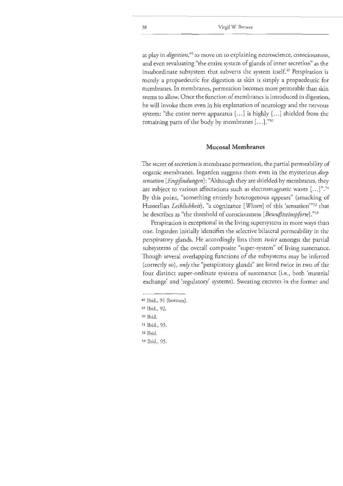at play in *digestion*,<sup>48</sup> to move on to explaining neuroscience, consciousness, and even revaluating "the entire system of glands of inner secretion" as the insubordinate subsystem that subverts the system itself. 49 Perspiration is merely a propaedeutic for digestion as skin is simply a propaedeutic for membranes. In membranes, permeation becomes more permeable than skin seems to allow. Once the function of membranes is introduced in digestion, he will invoke them even in his explanation of neurology and the nervous system: "the entire nerve apparatus [...] is highly [...] shielded from the remaining parts of the body by membranes [...]."50

#### **Mucosal Membranes**

The secret of secretion is membrane permeation, the partial permeability of organic membranes. Ingarden suggests chem even in the mysterious *deep sensation [Empfindungen]:* ''Although they are shielded by membranes, they are subject to various affectations such as electromagnetic waves  $[...]$ ".<sup>51</sup> By this point, "something entirely heterogenous appears" (smacking of Husserlian *Leiblichkeit),* "a cognizance *[Wissen]* of this 'sensation'"52 that he describes as "the threshold of consciousness *[Bewußtseinspforte]*."<sup>53</sup>

Perspiration is exceptional in the living supersystem in more ways than one. Ingarden initially identifies the selective bilateral permeability in the perspiratory glands. He accordingly lists them *twice* amongst the partial subsystems of the overall composite "super-system" of living sustenance. Though several overlapping functions of the subsystems may be inferred (correctly so), *only* the "perspiratory glands" are listed twice in two of the four distinct super-ordinate systems of sustenance (i.e., both 'material exchange' and 'regulatory' systems). Sweating excretes in the former and

- 49 Ibid., 92.
- so Ibid.
- <sup>s</sup>1 Ibid., 93.
- s<sup>2</sup>Ibid.
- 53 Ibid., 95.

<sup>4</sup>s Ibid., 91 [bottom].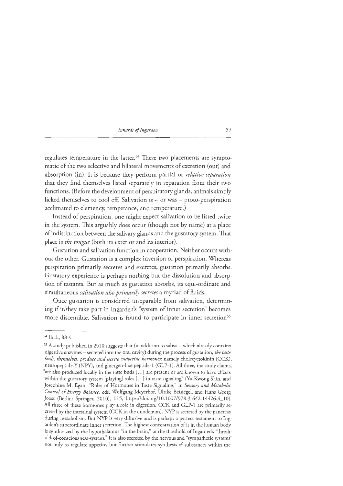regulates temperature in the latter.<sup>54</sup> These two placements are symptomatic of the two selective and bilateral movements of excretion (out) and absorption (in). It is because they perform partial or *relative separation*  that they find themselves listed separately in separation from their two functions. (Before the development of perspiratory glands, animals simply licked themselves to cool off. Salivation is  $-$  or was  $-$  proto-perspiration acclimated to clemency, temperance, and temperature.)

Instead of perspiration, one might expect salivation to be listed twice in the system. This arguably does occur (though not by name) at a place of indistinction between the salivary glands and the gustatory system. That place is *the tongue* (both its exterior and its interior).

Gustation and salivation function in cooperation. Neither occurs without the other. Gustation is a complex inversion of perspiration. Whereas perspiration primarily secretes and excretes, gustation primarily absorbs. Gustatory experience is perhaps nothing but the dissolution and absorption of tastants. But as much as gustation absorbs, its equi-ordinate and simultaneous *salivation also primarily secretes* a myriad of fluids.

Once gustation is considered inseparable from salivation, determining if it/they take part in Ingarden's "system of inner secretion" becomes more discernible. Salivation is found to participate in inner secretion<sup>55</sup>

<sup>54</sup> lbid., 88-9.

<sup>&</sup>lt;sup>55</sup> A study published in 2010 suggests that (in addition to saliva - which already contains digestive enzymes - secreted into the oral cavity) during the process of gustation, *the taste buds, themselves, produce and secrete endocrine hormones;* namely cholecyctokinin (CCK), neuropeptide-Y (NPY), and glucagen-like peptide-I (GLP-1). All three, the study claims, "are also produced locally *in* the taste buds [ ... ] are present or are known to have effects within the gustatory system [playing] roles [...] in taste signaling" (Yu-Kwong Shin, and Josephine M. Egan, "Roles of Hormones in Taste Signaling," in *Sensory and Metabolic*  Control of Energy Balance, eds. Wolfgang Meyerhof, Ulrike Beisiegel, and Hans Georg Joost (Berlin: Springer, 2010), 115, https://doi.org/10.1007/978-3-642-14426-4\_10). All three of these hormones play a role in digestion. CCK and GLP-1 are primarily secreted by the intestinal system (CCK in the duodenum). NYP is secreted by the pancreas during metabolism. Bur NYP is very diffusive and is perhaps a perfect testament to Ingarden's superordinate inner secretion. The highest concentration of it in the human body is synthesized by the hypothalamus "in the brain," at the threshold of lngarden's "threshold-of-consciousness-system." It is also secreted by the nervous and "sympathetic systems" not only co regulate appetite, but further stimulates synthesis of substances within rhe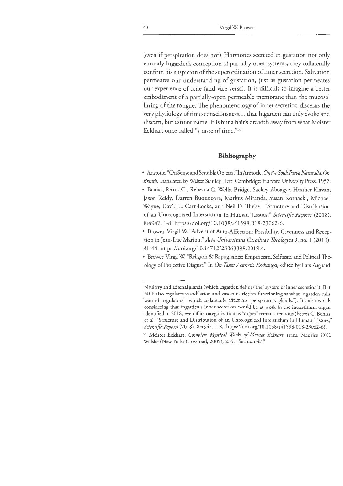(even if perspiration does not). Hormones secreted in gustation not only embody Ingarden's conception of partially-open systems, they collaterally confirm his suspicion of the superordination of inner secretion. Salivation permeates our understanding of gustation, just as gustation permeates our experience of time (and vice versa). It is difficult to imagine a better embodiment of a partially-open permeable membrane than the mucosal lining of the tongue. The phenomenology of inner secretion discerns the very physiology of time-consciousness... that Ingarden can only evoke and discern, but cannot name. It is but a hair's breadth away from what Meister Eckhart once called "a taste of time." <sup>56</sup>

#### **Bibliography**

- .Aristotle. "On Sense and Sensible Objects." In.Aristotle. *On the Soul: ParvaNaturalia. On Breath.* Translated by Walter Stanley Hett. Cambridge: Harvard University Press, 1957.
- Benias, Petros C., Rebecca G. Wells, Bridget Sackey-Aboagye, Heather Klavan, Jason Reidy, Darren Buonocore, Markus Miranda, Susan Kornacki, Michael Wayne, David L. Carr-Locke, and Neil D. Theise. "Structure and Distribution of an Unrecognized lnterstitium in Human Tissues." *Scientific Reports* (2018), 8:4947, 1-8. https://doi.org/10.1038/s41598-018-23062-6.
- Brower, Virgil W ''Advent of Auto-Affection: Possibility, Givenness and Reception in Jean-Luc Marion." *Acta Universitatis Carolinae Theologica* 9, no. 1 (2019): 31-44. https:/ /doi.org/10. l 4712/23363398.2019.4.
- Brower, Virgil W "Religion & Repugnance: Empiricism, Selftaste, and Political Theology of Projective Disgust." In *On Taste: Aesthetic Exchanges,* edited by Lars Aagaard

pituitary and adrenal glands ( which Ingarden defines the "system of inner secretion"). But NYP also regulates vasodilation and vasoconstriction functioning as what Ingarden calls "warmth regulators" (which collaterally affect his "perspiratory glands."). It's also worth considering that Ingarden's inner secretion would be at work in the imerstitium organ identified in 2018, even if its categorization as "organ" remains tenuous (Petros C. Benias et al. "Structure and Distribution of an Unrecognized Interstitium in Human Tissues," *Scientific Reports* (2018), 8:4947, 1-8, https://doi.org/10.1038/s41598-018-23062-6).

<sup>56</sup> Meister Eckhart, *Complete Mystical Works of Meister Eckhart*, trans. Maurice O'C. Walshe (New York: Crossroad, 2009), 235, "Sermon 42."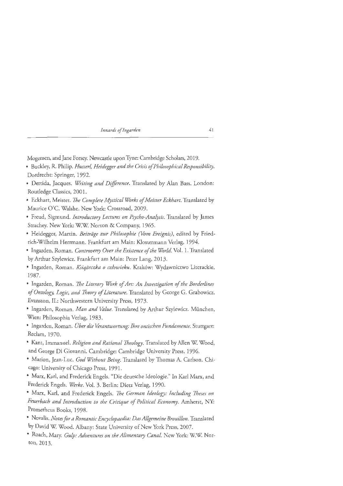Mogensen, and Jane Forsey. Newcastle upon Tyne: Cambridge Scholars, 2019.

- Buckley, R. Philip. *Husserl, Heidegger and the Crisis of Philosophical Responsibility.*  Dordrecht: Springer, 1992.
- Derrida, Jacques. *Writing and Difference.* Translated by Alan Bass. London: Routledge Classics, 2001.
- Eckhart, Meister. *The Complete Mystical Works of Meister Eckhart.* Translated by Maurice O'C. Walshe. New York: Crossroad, 2009.
- Freud, Sigmund. *Introductory Lectures on Psycho-Analysis.* Translated by James Strachey. New York: W.W. Norton & Company, 1965.
- Heidegger, Martin. *Beiträge zur Philosophie (Vom Ereignis)*, edited by Friedrich-Wilhelm Herrmann. Frankfurt am Main: Klostermann Verlag, 1994.
- Ingarden, Roman. *Controversy Over the Existence of the World.* Vol. 1. Translated by Arthur Szylewicz. Frankfurt am Main: Peter Lang, 2013.
- Ingarden, Roman. *Ksiqieczka o czlowieku.* Krakow: Wydawnictwo Literackie, 1987.
- lngarden, Roman. *The Literary Work of Art: An Investigation of the Borderlines of Ontology, Logic, and Theory of Literature.* Translated by George G. Grabowicz. Evanston, IL: Northwestern University Press, 1973.
- lngarden, Roman. *Man and Value.* Translated by Arthur Szylewicz. Miinchen, Wien: Philosophia Verlag, 1983.
- lngarden, Roman. *Ober die Verantwortung: Ihre ontischen Fundamente.* Stuttgart: Reclam, 1970.
- Kant, Immanuel. *Religion and Rational Theology.* Translated by Allen W Wood, and George Di Giovanni. Cambridge: Cambridge University Press, 1996.
- Marion, Jean-Luc. *God Without Being.* Translated by Thomas A. Carlson. Chicago: University of Chicago Press, 1991.
- Marx, Karl, and Frederick Engels. "Die deutsche Ideologie." In Karl Marx, and Frederick Engels. *Werke.* Vol. 3. Berlin: Dietz Verlag, 1990.
- Marx, Karl, and Frederick Engels. *The German Ideology: Including Theses on Feuerbach and Introduction to the Critique of Political Economy.* Amherst, NY: Prometheus Books, 1998.
- Novalis. *Notes for a Romantic Encyclopaedia: Das Allgemeine Brouillon.* Translated by David W. Wood. Albany: State University of New York Press, 2007.
- Roach, Mary. *Gulp: Adventures on the Alimentary Canal.* New York: W.W Norton, 2013.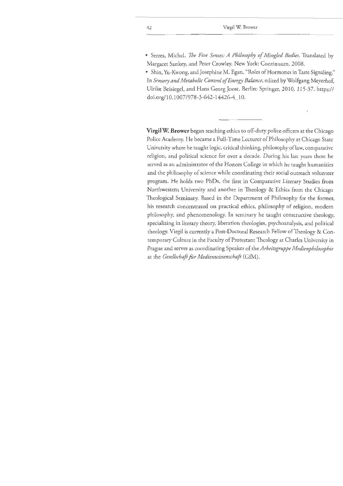• Serres, Michel. *The Five Senses: A Philosophy of Mingled Bodies.* Translated by Margaret Sankey, and Peter Crowley. New York: Continuum, 2008.

• Shin, Yu-Kwong, and Josephine M. Egan. "Roles of Hormones in Taste Signaling." In *Sensory and Metabolic Control of Energy Balance,* edited by Wolfgang Meyerhof, Ulrike Beisiegel, and Hans Georg Joost. Berlin: Springer, 2010, 115-37. https:// doi.org/ 10.1007 /978-3-642-14426-4\_10.

**Virgil W. Brower** began teaching ethics to off-duty police officers at the Chicago Police Academy. He became a Full-Time Lecturer of Philosophy at Chicago State University where he taught logic, critical thinking, philosophy oflaw, comparative religion, and political science for over a decade. During his last years there he served as an administrator of the Honors College in which he taught humanities and the philosophy of science while coordinating their social outreach volunteer program. He holds two PhDs, the first in Comparative Literary Studies from Northwestern University and another in Theology & Ethics from the Chicago Theological Seminary. Based in the Department of Philosophy for the former, his research concentrated on practical ethics, philosophy of religion, modern philosophy, and phenomenology. In seminary he taught constructive theology, specializing in literary theory, liberation theologies, psychoanalysis, and political theology. Virgil is currently a Post-Doctoral Research Fellow of Theology & Contemporary Culture in the Faculty of Protestant Theology at Charles University in Prague and serves as coordinating Speaker of *theArbeitsgruppe Medienphilosophie*  at the *Gesellschaft für Medienwissenschaft* (GfM).